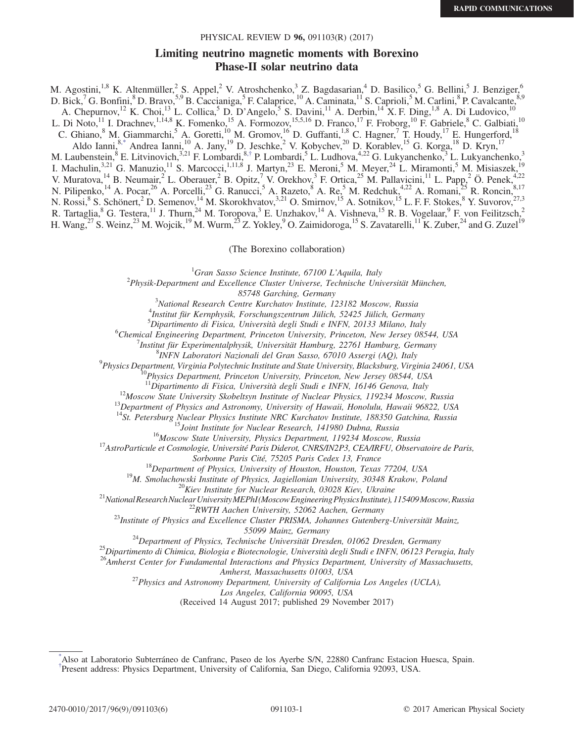### PHYSICAL REVIEW D 96, 091103(R) (2017)

# Limiting neutrino magnetic moments with Borexino Phase-II solar neutrino data

<span id="page-0-3"></span><span id="page-0-2"></span>M. Agostini,<sup>1,8</sup> K. Altenmüller,<sup>2</sup> S. Appel,<sup>2</sup> V. Atroshchenko,<sup>3</sup> Z. Bagdasarian,<sup>4</sup> D. Basilico,<sup>5</sup> G. Bellini,<sup>5</sup> J. Benziger,<sup>6</sup> D. Bick,<sup>7</sup> G. Bonfini,<sup>8</sup> D. Bravo,<sup>5,9</sup> B. Caccianiga,<sup>5</sup> F. Calaprice,<sup>10</sup> A. Caminata,<sup>11</sup> S. Caprioli,<sup>5</sup> M. Carlini,<sup>8</sup> P. Cavalcante,<sup>8,9</sup> A. Chepurnov,<sup>12</sup> K. Choi,<sup>13</sup> L. Collica,<sup>5</sup> D. D'Angelo,<sup>5</sup> S. Davini,<sup>11</sup> A. Derbin,<sup>14</sup> X. F. Ding,<sup>1,8</sup> A. Di Ludovico,<sup>10</sup> L. Di Noto,<sup>11</sup> I. Drachnev,<sup>1,14,8</sup> K. Fomenko,<sup>15</sup> A. Formozov,<sup>15,5,16</sup> D. Franco,<sup>17</sup> F. Froborg,<sup>10</sup> F. Gabriele,<sup>8</sup> C. Galbiati,<sup>10</sup> C. Ghiano,<sup>8</sup> M. Giammarchi,<sup>5</sup> A. Goretti,<sup>10</sup> M. Gromov,<sup>16</sup> D. Guffanti,<sup>1,8</sup> C. Hagner,<sup>7</sup> T. Houdy,<sup>17</sup> E. Hungerford,<sup>18</sup> Aldo Ianni,<sup>[8,\\*](#page-0-0)</sup> Andrea Ianni,<sup>10</sup> A. Jany,<sup>19</sup> D. Jeschke,<sup>2</sup> V. Kobychev,<sup>20</sup> D. Korablev,<sup>15</sup> G. Korga,<sup>18</sup> D. Kryn,<sup>17</sup> M. Laubenstein,<sup>8</sup> E. Litvinovich,<sup>3,21</sup> F. Lombardi,<sup>8,[†](#page-0-1)</sup> P. Lombardi,<sup>5</sup> L. Ludhova,<sup>4,22</sup> G. Lukyanchenko,<sup>3</sup> L. Lukyanchenko,<sup>3</sup> I. Machulin,<sup>3,21</sup> G. Manuzio,<sup>11</sup> S. Marcocci,<sup>1,11,8</sup> J. Martyn,<sup>23</sup> E. Meroni,<sup>5</sup> M. Meyer,<sup>24</sup> L. Miramonti,<sup>5</sup> M. Misiaszek,<sup>19</sup> V. Muratova,<sup>14</sup> B. Neumair,<sup>2</sup> L. Oberauer,<sup>2</sup> B. Opitz,<sup>7</sup> V. Orekhov,<sup>3</sup> F. Ortica,<sup>25</sup> M. Pallavicini,<sup>11</sup> L. Papp,<sup>2</sup> Ö. Penek,<sup>4,22</sup> N. Pilipenko,<sup>14</sup> A. Pocar,<sup>26</sup> A. Porcelli,<sup>23</sup> G. Ranucci,<sup>5</sup> A. Razeto,<sup>8</sup> A. Re,<sup>5</sup> M. Redchuk,<sup>4,22</sup> A. Romani,<sup>25</sup> R. Roncin,<sup>8,17</sup> N. Rossi, <sup>8</sup> S. Schönert, <sup>2</sup> D. Semenov, <sup>14</sup> M. Skorokhvatov, <sup>3,21</sup> O. Smirnov, <sup>15</sup> A. Sotnikov, <sup>15</sup> L. F. F. Stokes, <sup>8</sup> Y. Suvorov, <sup>27,3</sup> R. Tartaglia, <sup>8</sup> G. Testera, <sup>11</sup> J. Thurn, <sup>24</sup> M. Toropova, <sup>3</sup> E. Unzhakov, <sup>14</sup> A. Vishneva, <sup>15</sup> R. B. Vogelaar, <sup>9</sup> F. von Feilitzsch, 2 H. Wang,  $27$  S. Weinz,  $23$  M. Wojcik,  $19$  M. Wurm,  $23$  Z. Yokley,  $9$  O. Zaimidoroga,  $15$  S. Zavatarelli,  $11$  K. Zuber,  $24$  and G. Zuzel $19$ 

(The Borexino collaboration)

<sup>1</sup>Gran Sasso Science Institute, 67100 L'Aquila, Italy<sup>2</sup> Physik Danartmant and Excellence Cluster Universe, Technische Uni

<sup>2</sup>Physik-Department and Excellence Cluster Universe, Technische Universität München,  $85748$  Garching, Germany

85748 Garching, Germany<br><sup>3</sup>National Pessareh Centre Kurehatov Institute

<sup>3</sup>National Research Centre Kurchatov Institute, 123182 Moscow, Russia<br><sup>4</sup>Institut für Karanhysik Forschungszentrum Jülich 52425 Jülich Carman

Institut für Kernphysik, Forschungszentrum Jülich, 52425 Jülich, Germany

<sup>5</sup>Dipartimento di Fisica, Università degli Studi e INFN, 20133 Milano, Italy 6 (chamical Engineering Department, Princeton University Princeton, New Jersey 08

<sup>6</sup>Chemical Engineering Department, Princeton University, Princeton, New Jersey 08544, USA

Institut für Experimentalphysik, Universität Hamburg, 22761 Hamburg, Germany

 ${}^{8}$ INFN Laboratori Nazionali del Gran Sasso, 67010 Assergi (AQ), Italy

<sup>9</sup>Physics Department, Virginia Polytechnic Institute and State University, Blacksburg, Virginia 24061, USA<br><sup>10</sup>Physics Department, Princeton University, Princeton, New Jersey 08544, USA<br><sup>11</sup>Dipartimento di Fisica, Univer

 $^{12}$ Moscow State University Skobeltsyn Institute of Nuclear Physics, 119234 Moscow, Russia<br>  $^{13}$ Department of Physics and Astronomy, University of Hawaii, Honolulu, Hawaii 96822, USA<br>  $^{14}$ St. Petersburg Nuclear Phys

<sup>15</sup>Joint Institute for Nuclear Research, 141980 Dubna, Russia<br><sup>16</sup>Moscow State University, Physics Department, 119234 Moscow, Russia<br><sup>17</sup>AstroParticule et Cosmologie, Université Paris Diderot, CNRS/IN2P3, CEA/IRFU, Observ

<sup>18</sup>Department of Physics, University of Houston, Houston, Texas 77204, USA<br><sup>19</sup>M. Smoluchowski Institute of Physics, Jagiellonian University, 30348 Krakow, Poland<br><sup>20</sup>Kiev Institute for Nuclear Research, 03028 Kiev, Ukra

55099 Mainz, Germany<br><sup>24</sup>Department of Physics, Technische Universität Dresden, 01062 Dresden, Germany<br><sup>25</sup>Dipartimento di Chimica, Biologia e Biotecnologie, Università degli Studi e INFN, 06123 Perugia, Italy<br><sup>26</sup>Amherst

Amherst, Massachusetts 01003, USA<br><sup>27</sup>Physics and Astronomy Department, University of California Los Angeles (UCLA),

Los Angeles, California 90095, USA

(Received 14 August 2017; published 29 November 2017)

<span id="page-0-1"></span><span id="page-0-0"></span>[<sup>\\*</sup>](#page-0-2) Also at Laboratorio Subterráneo de Canfranc, Paseo de los Ayerbe S/N, 22880 Canfranc Estacion Huesca, Spain. [†](#page-0-3) Present address: Physics Department, University of California, San Diego, California 92093, USA.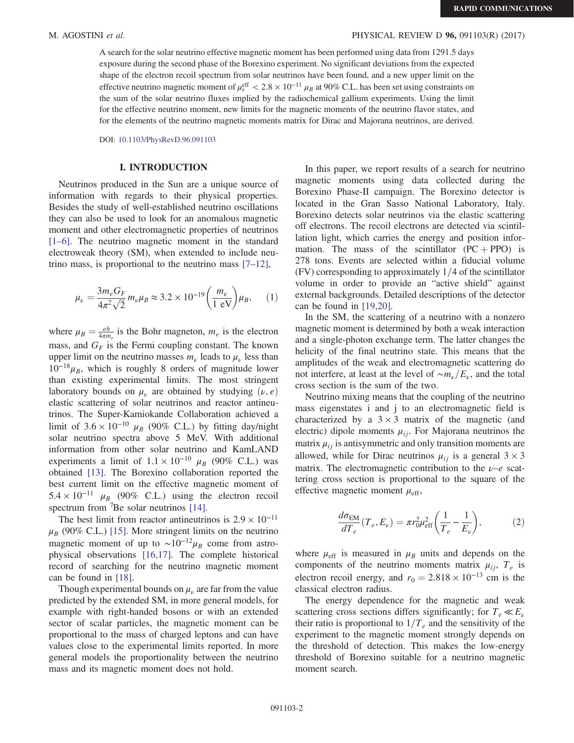A search for the solar neutrino effective magnetic moment has been performed using data from 1291.5 days exposure during the second phase of the Borexino experiment. No significant deviations from the expected shape of the electron recoil spectrum from solar neutrinos have been found, and a new upper limit on the effective neutrino magnetic moment of  $\mu_{\nu}^{\text{eff}} < 2.8 \times 10^{-11} \mu_B$  at 90% C.L. has been set using constraints on the sum of the solar neutrino fluxes implied by the radiochemical gallium experiments. Using the limit for the effective neutrino moment, new limits for the magnetic moments of the neutrino flavor states, and for the elements of the neutrino magnetic moments matrix for Dirac and Majorana neutrinos, are derived.

DOI: [10.1103/PhysRevD.96.091103](https://doi.org/10.1103/PhysRevD.96.091103)

#### I. INTRODUCTION

Neutrinos produced in the Sun are a unique source of information with regards to their physical properties. Besides the study of well-established neutrino oscillations they can also be used to look for an anomalous magnetic moment and other electromagnetic properties of neutrinos [\[1](#page-5-0)–6]. The neutrino magnetic moment in the standard electroweak theory (SM), when extended to include neutrino mass, is proportional to the neutrino mass  $[7-12]$  $[7-12]$ ,

$$
\mu_{\nu} = \frac{3m_e G_F}{4\pi^2 \sqrt{2}} m_{\nu} \mu_B \approx 3.2 \times 10^{-19} \left(\frac{m_{\nu}}{1 \text{ eV}}\right) \mu_B, \quad (1)
$$

where  $\mu_B = \frac{eh}{4\pi m_e}$  is the Bohr magneton,  $m_e$  is the electron mass, and  $G_F$  is the Fermi coupling constant. The known upper limit on the neutrino masses  $m_{\nu}$  leads to  $\mu_{\nu}$  less than  $10^{-18}\mu_B$ , which is roughly 8 orders of magnitude lower than existing experimental limits. The most stringent laboratory bounds on  $\mu_{\nu}$  are obtained by studying  $(\nu, e)$ elastic scattering of solar neutrinos and reactor antineutrinos. The Super-Kamiokande Collaboration achieved a limit of  $3.6 \times 10^{-10}$   $\mu_B$  (90% C.L.) by fitting day/night solar neutrino spectra above 5 MeV. With additional information from other solar neutrino and KamLAND experiments a limit of  $1.1 \times 10^{-10}$   $\mu_B$  (90% C.L.) was obtained [\[13\].](#page-5-2) The Borexino collaboration reported the best current limit on the effective magnetic moment of  $5.4 \times 10^{-11}$   $\mu_B$  (90% C.L.) using the electron recoil spectrum from <sup>7</sup>Be solar neutrinos [\[14\]](#page-5-3).

The best limit from reactor antineutrinos is  $2.9 \times 10^{-11}$  $\mu_B$  (90% C.L.) [\[15\]](#page-5-4). More stringent limits on the neutrino magnetic moment of up to  $\sim 10^{-12} \mu_B$  come from astrophysical observations [\[16,17\]](#page-5-5). The complete historical record of searching for the neutrino magnetic moment can be found in [\[18\].](#page-5-6)

Though experimental bounds on  $\mu_{\nu}$  are far from the value predicted by the extended SM, in more general models, for example with right-handed bosons or with an extended sector of scalar particles, the magnetic moment can be proportional to the mass of charged leptons and can have values close to the experimental limits reported. In more general models the proportionality between the neutrino mass and its magnetic moment does not hold.

In this paper, we report results of a search for neutrino magnetic moments using data collected during the Borexino Phase-II campaign. The Borexino detector is located in the Gran Sasso National Laboratory, Italy. Borexino detects solar neutrinos via the elastic scattering off electrons. The recoil electrons are detected via scintillation light, which carries the energy and position information. The mass of the scintillator  $(PC + PPO)$  is 278 tons. Events are selected within a fiducial volume  $(FV)$  corresponding to approximately  $1/4$  of the scintillator volume in order to provide an "active shield" against external backgrounds. Detailed descriptions of the detector can be found in [\[19,20\].](#page-5-7)

In the SM, the scattering of a neutrino with a nonzero magnetic moment is determined by both a weak interaction and a single-photon exchange term. The latter changes the helicity of the final neutrino state. This means that the amplitudes of the weak and electromagnetic scattering do not interfere, at least at the level of  $\sim m_{\nu}/E_{\nu}$ , and the total cross section is the sum of the two.

Neutrino mixing means that the coupling of the neutrino mass eigenstates i and j to an electromagnetic field is characterized by a  $3 \times 3$  matrix of the magnetic (and electric) dipole moments  $\mu_{ij}$ . For Majorana neutrinos the matrix  $\mu_{ij}$  is antisymmetric and only transition moments are allowed, while for Dirac neutrinos  $\mu_{ij}$  is a general  $3 \times 3$ matrix. The electromagnetic contribution to the  $\nu$ –e scattering cross section is proportional to the square of the effective magnetic moment  $\mu_{\text{eff}}$ ,

<span id="page-1-0"></span>
$$
\frac{d\sigma_{\rm EM}}{dT_e}(T_e, E_\nu) = \pi r_0^2 \mu_{\rm eff}^2 \left(\frac{1}{T_e} - \frac{1}{E_\nu}\right),\tag{2}
$$

where  $\mu_{\text{eff}}$  is measured in  $\mu_B$  units and depends on the components of the neutrino moments matrix  $\mu_{ij}$ ,  $T_e$  is electron recoil energy, and  $r_0 = 2.818 \times 10^{-13}$  cm is the classical electron radius.

The energy dependence for the magnetic and weak scattering cross sections differs significantly; for  $T_e \ll E_\nu$ their ratio is proportional to  $1/T_e$  and the sensitivity of the experiment to the magnetic moment strongly depends on the threshold of detection. This makes the low-energy threshold of Borexino suitable for a neutrino magnetic moment search.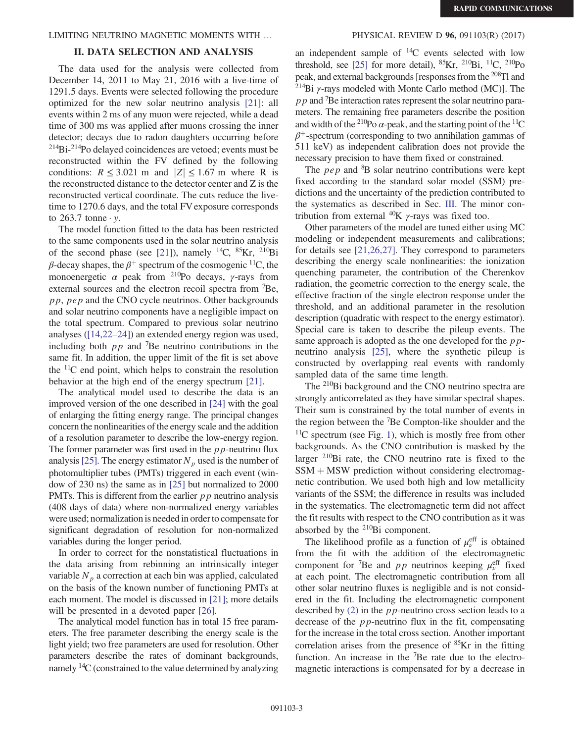### LIMITING NEUTRINO MAGNETIC MOMENTS WITH ... PHYSICAL REVIEW D **96,** 091103(R) (2017)

# II. DATA SELECTION AND ANALYSIS

The data used for the analysis were collected from December 14, 2011 to May 21, 2016 with a live-time of 1291.5 days. Events were selected following the procedure optimized for the new solar neutrino analysis [\[21\]:](#page-5-8) all events within 2 ms of any muon were rejected, while a dead time of 300 ms was applied after muons crossing the inner detector; decays due to radon daughters occurring before <sup>214</sup>Bi-<sup>214</sup>Po delayed coincidences are vetoed; events must be reconstructed within the FV defined by the following conditions:  $R \leq 3.021$  m and  $|Z| \leq 1.67$  m where R is the reconstructed distance to the detector center and Z is the reconstructed vertical coordinate. The cuts reduce the livetime to 1270.6 days, and the total FV exposure corresponds to  $263.7$  tonne  $\cdot$  y.

The model function fitted to the data has been restricted to the same components used in the solar neutrino analysis of the second phase (see [\[21\]](#page-5-8)), namely <sup>14</sup>C, <sup>85</sup>Kr, <sup>210</sup>Bi β-decay shapes, the  $β$ <sup>+</sup> spectrum of the cosmogenic <sup>11</sup>C, the monoenergetic  $\alpha$  peak from <sup>210</sup>Po decays,  $\gamma$ -rays from external sources and the electron recoil spectra from <sup>7</sup>Be, pp, pep and the CNO cycle neutrinos. Other backgrounds and solar neutrino components have a negligible impact on the total spectrum. Compared to previous solar neutrino analyses [\(\[14,22](#page-5-3)–24]) an extended energy region was used, including both  $pp$  and <sup>7</sup>Be neutrino contributions in the same fit. In addition, the upper limit of the fit is set above the  $11C$  end point, which helps to constrain the resolution behavior at the high end of the energy spectrum [\[21\].](#page-5-8)

The analytical model used to describe the data is an improved version of the one described in [\[24\]](#page-5-9) with the goal of enlarging the fitting energy range. The principal changes concern the nonlinearities of the energy scale and the addition of a resolution parameter to describe the low-energy region. The former parameter was first used in the  $p p$ -neutrino flux analysis [\[25\].](#page-5-10) The energy estimator  $N_p$  used is the number of photomultiplier tubes (PMTs) triggered in each event (window of 230 ns) the same as in [\[25\]](#page-5-10) but normalized to 2000 PMTs. This is different from the earlier  $p p$  neutrino analysis (408 days of data) where non-normalized energy variables were used; normalization is needed in order to compensate for significant degradation of resolution for non-normalized variables during the longer period.

In order to correct for the nonstatistical fluctuations in the data arising from rebinning an intrinsically integer variable  $N_p$  a correction at each bin was applied, calculated on the basis of the known number of functioning PMTs at each moment. The model is discussed in [\[21\];](#page-5-8) more details will be presented in a devoted paper [\[26\].](#page-5-11)

The analytical model function has in total 15 free parameters. The free parameter describing the energy scale is the light yield; two free parameters are used for resolution. Other parameters describe the rates of dominant backgrounds, namely <sup>14</sup>C (constrained to the value determined by analyzing

an independent sample of  $^{14}C$  events selected with low threshold, see [\[25\]](#page-5-10) for more detail),  ${}^{85}$ Kr,  ${}^{210}$ Bi,  ${}^{11}$ C,  ${}^{210}$ Po peak, and external backgrounds [responses from the <sup>208</sup>Tl and <sup>214</sup>Bi γ-rays modeled with Monte Carlo method (MC)]. The  $pp$  and <sup>7</sup>Be interaction rates represent the solar neutrino parameters. The remaining free parameters describe the position and width of the <sup>210</sup>Po  $\alpha$ -peak, and the starting point of the <sup>11</sup>C  $\beta^+$ -spectrum (corresponding to two annihilation gammas of 511 keV) as independent calibration does not provide the necessary precision to have them fixed or constrained.

The  $pep$  and  ${}^{8}B$  solar neutrino contributions were kept fixed according to the standard solar model (SSM) predictions and the uncertainty of the prediction contributed to the systematics as described in Sec. [III](#page-3-0). The minor contribution from external  $^{40}$ K γ-rays was fixed too.

Other parameters of the model are tuned either using MC modeling or independent measurements and calibrations; for details see [\[21,26,27\].](#page-5-8) They correspond to parameters describing the energy scale nonlinearities: the ionization quenching parameter, the contribution of the Cherenkov radiation, the geometric correction to the energy scale, the effective fraction of the single electron response under the threshold, and an additional parameter in the resolution description (quadratic with respect to the energy estimator). Special care is taken to describe the pileup events. The same approach is adopted as the one developed for the  $p$ . neutrino analysis [\[25\]](#page-5-10), where the synthetic pileup is constructed by overlapping real events with randomly sampled data of the same time length.

The <sup>210</sup>Bi background and the CNO neutrino spectra are strongly anticorrelated as they have similar spectral shapes. Their sum is constrained by the total number of events in the region between the <sup>7</sup> Be Compton-like shoulder and the  $11C$  $11C$  spectrum (see Fig. 1), which is mostly free from other backgrounds. As the CNO contribution is masked by the larger <sup>210</sup>Bi rate, the CNO neutrino rate is fixed to the  $SSM + MSW$  prediction without considering electromagnetic contribution. We used both high and low metallicity variants of the SSM; the difference in results was included in the systematics. The electromagnetic term did not affect the fit results with respect to the CNO contribution as it was absorbed by the <sup>210</sup>Bi component.

The likelihood profile as a function of  $\mu_{\nu}^{\text{eff}}$  is obtained from the fit with the addition of the electromagnetic component for <sup>7</sup>Be and *pp* neutrinos keeping  $\mu_v^{\text{eff}}$  fixed at each point. The electromagnetic contribution from all other solar neutrino fluxes is negligible and is not considered in the fit. Including the electromagnetic component described by  $(2)$  in the *pp*-neutrino cross section leads to a decrease of the pp-neutrino flux in the fit, compensating for the increase in the total cross section. Another important correlation arises from the presence of <sup>85</sup>Kr in the fitting function. An increase in the  $\overline{P}$ Be rate due to the electromagnetic interactions is compensated for by a decrease in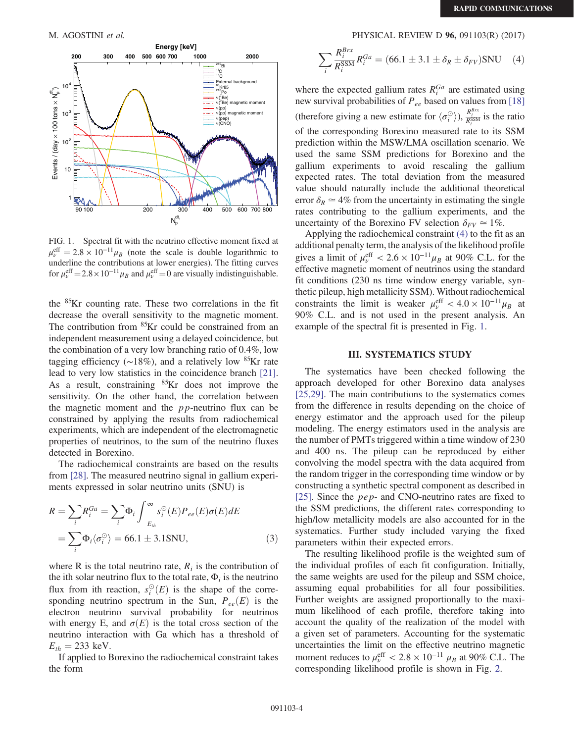<span id="page-3-1"></span>

FIG. 1. Spectral fit with the neutrino effective moment fixed at  $\mu_v^{\text{eff}} = 2.8 \times 10^{-11} \mu_B$  (note the scale is double logarithmic to underline the contributions at lower energies). The fitting curves for  $\mu_{\nu}^{\text{eff}} = 2.8 \times 10^{-11} \mu_B$  and  $\mu_{\nu}^{\text{eff}} = 0$  are visually indistinguishable.

the <sup>85</sup>Kr counting rate. These two correlations in the fit decrease the overall sensitivity to the magnetic moment. The contribution from  ${}^{85}$ Kr could be constrained from an independent measurement using a delayed coincidence, but the combination of a very low branching ratio of 0.4%, low tagging efficiency ( $\sim$ 18%), and a relatively low <sup>85</sup>Kr rate lead to very low statistics in the coincidence branch [\[21\]](#page-5-8). As a result, constraining  ${}^{85}$ Kr does not improve the sensitivity. On the other hand, the correlation between the magnetic moment and the  $pp$ -neutrino flux can be constrained by applying the results from radiochemical experiments, which are independent of the electromagnetic properties of neutrinos, to the sum of the neutrino fluxes detected in Borexino.

The radiochemical constraints are based on the results from [\[28\].](#page-5-12) The measured neutrino signal in gallium experiments expressed in solar neutrino units (SNU) is

$$
R = \sum_{i} R_i^{Ga} = \sum_{i} \Phi_i \int_{E_{th}}^{\infty} s_i^{\odot}(E) P_{ee}(E) \sigma(E) dE
$$
  
= 
$$
\sum_{i} \Phi_i \langle \sigma_i^{\odot} \rangle = 66.1 \pm 3.1 \text{SNU},
$$
 (3)

where R is the total neutrino rate,  $R_i$  is the contribution of the ith solar neutrino flux to the total rate,  $\Phi_i$  is the neutrino flux from ith reaction,  $s_i^{\odot}(E)$  is the shape of the corresponding neutrino spectrum in the Sun,  $P_{ee}(E)$  is the electron neutrino survival probability for neutrinos with energy E, and  $\sigma(E)$  is the total cross section of the neutrino interaction with Ga which has a threshold of  $E_{th} = 233$  keV.

<span id="page-3-2"></span>If applied to Borexino the radiochemical constraint takes the form

# M. AGOSTINI et al. PHYSICAL REVIEW D 96, 091103(R) (2017)

$$
\sum_{i} \frac{R_i^{Brx}}{R_i^{SSM}} R_i^{Ga} = (66.1 \pm 3.1 \pm \delta_R \pm \delta_{FV}) \text{SNU} \quad (4)
$$

where the expected gallium rates  $R_i^{Ga}$  are estimated using new survival probabilities of  $P_{ee}$  based on values from [\[18\]](#page-5-6) (therefore giving a new estimate for  $\langle \sigma_i^{\odot} \rangle$ ),  $\frac{R_i^{Brx}}{R_i^{SSM}}$  is the ratio of the corresponding Borexino measured rate to its SSM prediction within the MSW/LMA oscillation scenario. We used the same SSM predictions for Borexino and the gallium experiments to avoid rescaling the gallium expected rates. The total deviation from the measured value should naturally include the additional theoretical error  $\delta_R \simeq 4\%$  from the uncertainty in estimating the single rates contributing to the gallium experiments, and the uncertainty of the Borexino FV selection  $\delta_{FV} \simeq 1\%$ .

Applying the radiochemical constraint [\(4\)](#page-3-2) to the fit as an additional penalty term, the analysis of the likelihood profile gives a limit of  $\mu_{\nu}^{\text{eff}} < 2.6 \times 10^{-11} \mu_B$  at 90% C.L. for the effective magnetic moment of neutrinos using the standard fit conditions (230 ns time window energy variable, synthetic pileup, high metallicity SSM). Without radiochemical constraints the limit is weaker  $\mu_{\nu}^{\text{eff}} < 4.0 \times 10^{-11} \mu_B$  at 90% C.L. and is not used in the present analysis. An example of the spectral fit is presented in Fig. [1](#page-3-1).

#### III. SYSTEMATICS STUDY

<span id="page-3-0"></span>The systematics have been checked following the approach developed for other Borexino data analyses [\[25,29\]](#page-5-10). The main contributions to the systematics comes from the difference in results depending on the choice of energy estimator and the approach used for the pileup modeling. The energy estimators used in the analysis are the number of PMTs triggered within a time window of 230 and 400 ns. The pileup can be reproduced by either convolving the model spectra with the data acquired from the random trigger in the corresponding time window or by constructing a synthetic spectral component as described in [\[25\]](#page-5-10). Since the *pep*- and CNO-neutrino rates are fixed to the SSM predictions, the different rates corresponding to high/low metallicity models are also accounted for in the systematics. Further study included varying the fixed parameters within their expected errors.

The resulting likelihood profile is the weighted sum of the individual profiles of each fit configuration. Initially, the same weights are used for the pileup and SSM choice, assuming equal probabilities for all four possibilities. Further weights are assigned proportionally to the maximum likelihood of each profile, therefore taking into account the quality of the realization of the model with a given set of parameters. Accounting for the systematic uncertainties the limit on the effective neutrino magnetic moment reduces to  $\mu_{\nu}^{\rm eff} < 2.8 \times 10^{-11} \mu_B$  at 90% C.L. The corresponding likelihood profile is shown in Fig. [2](#page-4-0).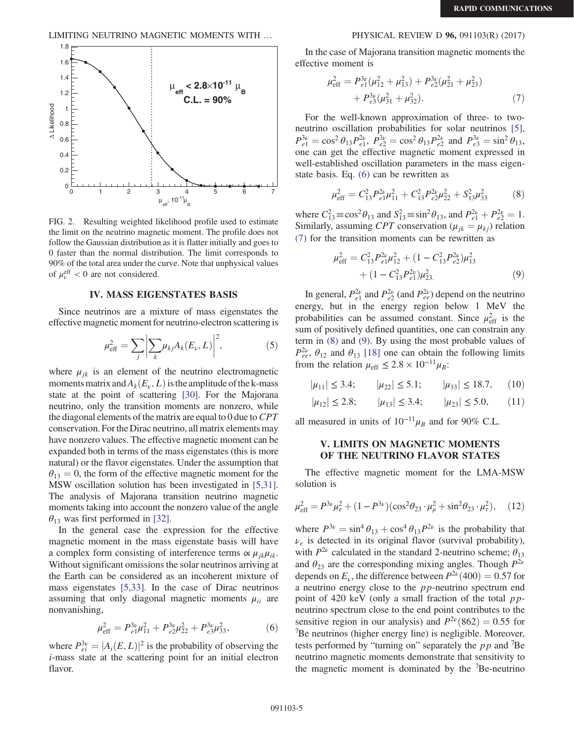LIMITING NEUTRINO MAGNETIC MOMENTS WITH … PHYSICAL REVIEW D 96, 091103(R) (2017)

<span id="page-4-0"></span>

FIG. 2. Resulting weighted likelihood profile used to estimate the limit on the neutrino magnetic moment. The profile does not follow the Gaussian distribution as it is flatter initially and goes to 0 faster than the normal distribution. The limit corresponds to 90% of the total area under the curve. Note that unphysical values of  $\mu_{\nu}^{\text{eff}} < 0$  are not considered.

# IV. MASS EIGENSTATES BASIS

Since neutrinos are a mixture of mass eigenstates the effective magnetic moment for neutrino-electron scattering is

$$
\mu_{\text{eff}}^2 = \sum_j \left| \sum_k \mu_{kj} A_k(E_\nu, L) \right|^2, \tag{5}
$$

where  $\mu_{ik}$  is an element of the neutrino electromagnetic moments matrix and  $A_k(E_\nu, L)$  is the amplitude of the k-mass state at the point of scattering [\[30\]](#page-5-13). For the Majorana neutrino, only the transition moments are nonzero, while the diagonal elements of the matrix are equal to  $0$  due to  $CPT$ conservation. For the Dirac neutrino, all matrix elements may have nonzero values. The effective magnetic moment can be expanded both in terms of the mass eigenstates (this is more natural) or the flavor eigenstates. Under the assumption that  $\theta_{13} = 0$ , the form of the effective magnetic moment for the MSW oscillation solution has been investigated in [\[5,31\]](#page-5-14). The analysis of Majorana transition neutrino magnetic moments taking into account the nonzero value of the angle  $\theta_{13}$  was first performed in [\[32\].](#page-5-15)

In the general case the expression for the effective magnetic moment in the mass eigenstate basis will have a complex form consisting of interference terms  $\propto \mu_{jk}\mu_{ik}$ . Without significant omissions the solar neutrinos arriving at the Earth can be considered as an incoherent mixture of mass eigenstates [\[5,33\].](#page-5-14) In the case of Dirac neutrinos assuming that only diagonal magnetic moments  $\mu_{ii}$  are nonvanishing,

$$
\mu_{\text{eff}}^2 = P_{e1}^{3\nu} \mu_{11}^2 + P_{e2}^{3\nu} \mu_{22}^2 + P_{e3}^{3\nu} \mu_{33}^2,\tag{6}
$$

<span id="page-4-1"></span>where  $P_{ei}^{3\nu} = |A_i(E, L)|^2$  is the probability of observing the i-mass state at the scattering point for an initial electron flavor.

<span id="page-4-2"></span>In the case of Majorana transition magnetic moments the effective moment is

$$
\mu_{\text{eff}}^2 = P_{e1}^{3\nu}(\mu_{12}^2 + \mu_{13}^2) + P_{e2}^{3\nu}(\mu_{21}^2 + \mu_{23}^2) + P_{e3}^{3\nu}(\mu_{31}^2 + \mu_{32}^2).
$$
 (7)

For the well-known approximation of three- to twoneutrino oscillation probabilities for solar neutrinos [\[5\]](#page-5-14),  $P_{e1}^{3\nu} = \cos^2 \theta_{13} P_{e1}^{2\nu}, P_{e2}^{3\nu} = \cos^2 \theta_{13} P_{e2}^{2\nu}$  and  $P_{e3}^{3\nu} = \sin^2 \theta_{13}$ , one can get the effective magnetic moment expressed in well-established oscillation parameters in the mass eigenstate basis. Eq. [\(6\)](#page-4-1) can be rewritten as

$$
\mu_{\text{eff}}^2 = C_{13}^2 P_{e1}^{2\nu} \mu_{11}^2 + C_{13}^2 P_{e2}^{2\nu} \mu_{22}^2 + S_{13}^2 \mu_{33}^2 \tag{8}
$$

<span id="page-4-4"></span><span id="page-4-3"></span>where  $C_{13}^2 \equiv \cos^2 \theta_{13}$  and  $S_{13}^2 \equiv \sin^2 \theta_{13}$ , and  $P_{e1}^{2\nu} + P_{e2}^{2\nu} = 1$ . Similarly, assuming CPT conservation ( $\mu_{jk} = \mu_{kj}$ ) relation [\(7\)](#page-4-2) for the transition moments can be rewritten as

$$
\mu_{\text{eff}}^2 = C_{13}^2 P_{e1}^{2\nu} \mu_{12}^2 + (1 - C_{13}^2 P_{e2}^{2\nu}) \mu_{13}^2 + (1 - C_{13}^2 P_{e1}^{2\nu}) \mu_{23}^2.
$$
 (9)

In general,  $P_{e1}^{2\nu}$  and  $P_{e2}^{2\nu}$  (and  $P_{ee}^{2\nu}$ ) depend on the neutrino energy, but in the energy region below 1 MeV the probabilities can be assumed constant. Since  $\mu_{\text{eff}}^2$  is the sum of positively defined quantities, one can constrain any term in [\(8\)](#page-4-3) and [\(9\).](#page-4-4) By using the most probable values of  $P_{ee}^{2\nu}$ ,  $\theta_{12}$  and  $\theta_{13}$  [\[18\]](#page-5-6) one can obtain the following limits from the relation  $\mu_{\text{eff}} \leq 2.8 \times 10^{-11} \mu_B$ :

$$
|\mu_{11}| \le 3.4;
$$
  $|\mu_{22}| \le 5.1;$   $|\mu_{33}| \le 18.7,$  (10)

$$
|\mu_{12}| \le 2.8;
$$
  $|\mu_{13}| \le 3.4;$   $|\mu_{23}| \le 5.0,$  (11)

all measured in units of  $10^{-11}\mu_B$  and for 90% C.L.

#### V. LIMITS ON MAGNETIC MOMENTS OF THE NEUTRINO FLAVOR STATES

<span id="page-4-5"></span>The effective magnetic moment for the LMA-MSW solution is

$$
\mu_{\text{eff}}^2 = P^{3\nu}\mu_e^2 + (1 - P^{3\nu})(\cos^2\theta_{23} \cdot \mu_\mu^2 + \sin^2\theta_{23} \cdot \mu_\tau^2), \quad (12)
$$

where  $P^{3\nu} = \sin^4 \theta_{13} + \cos^4 \theta_{13}P^{2\nu}$  is the probability that  $\nu_e$  is detected in its original flavor (survival probability), with  $P^{2\nu}$  calculated in the standard 2-neutrino scheme;  $\theta_{13}$ and  $\theta_{23}$  are the corresponding mixing angles. Though  $P^{2\nu}$ depends on  $E_{\nu}$ , the difference between  $P^{2\nu}(400) = 0.57$  for a neutrino energy close to the  $pp$ -neutrino spectrum end point of 420 keV (only a small fraction of the total  $pp$ neutrino spectrum close to the end point contributes to the sensitive region in our analysis) and  $P^{2\nu}(862) = 0.55$  for <sup>7</sup>Be neutrinos (higher energy line) is negligible. Moreover, tests performed by "turning on" separately the  $pp$  and <sup>7</sup>Be neutrino magnetic moments demonstrate that sensitivity to the magnetic moment is dominated by the <sup>7</sup> Be-neutrino